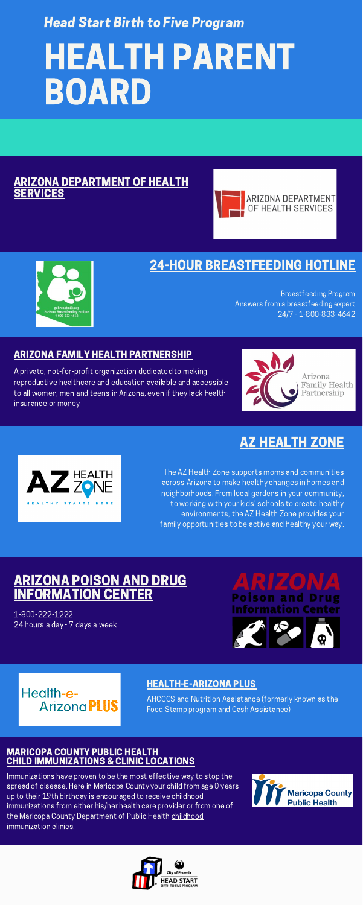# HEALTH PARENT BOARD

#### RIZONA [DEPARTMENT](https://www.azdhs.gov/) OF HEALTH **ERVICES**





Head Start Birth to Five Program

#### [HEALTH-E-ARIZONA](https://www.healthearizonaplus.gov/Login/Default) PLUS

## ARIZONA POISON AND DRUG **FORMATION CEN**

AHCCCS and Nutrition Assistance (formerly known as the Food Stamp program and Cash Assistance)

1-800-222-1222 24 hours a day - 7 days a week

# Poison and Information C



## Health-e-**Arizona PLUS**

#### ARIZONA FAMILY HEALTH [PARTNERSHIP](https://www.arizonafamilyhealth.org/)

A private, not-for-profit organization dedicated to making reproductive healthcare and education available and accessible to all women, men and teens in Arizona, even if they lack health insurance or money



## 24-HOUR [BREASTFEEDING](https://www.azdhs.gov/prevention/nutrition-physical-activity/breastfeeding/index.php#:~:text=Get%20answers%20to%20your%20breastfeeding,%2D800%2D833%2D4642.) HOTLINE

Breastfeeding Program Answers from a breastfeeding expert 24/7 - 1-800-833-4642

## AZ [HEALTH](https://www.azhealthzone.org/) ZONE



The AZ Health Zone supports moms and communities across Arizona to make healthy changes in homes and neighborhoods. From local gardens in your community, to working with your kids' schools to create healthy environments, the AZ Health Zone provides your family opportunities to be active and healthy your way.

#### [MARICOPA](https://www.maricopa.gov/1805/Child-Immunizations) COUNTY PUBLIC HEALTH CHILD [IMMUNIZATIONS](https://www.maricopa.gov/1805/Child-Immunizations) & CLINIC LOCATIONS

Immunizations have proven to be the most effective way to stop the spread of disease. Here in Maricopa County your child from age 0 years up to their 19th birthday is encouraged to receive childhood immunizations from either his/her health care provider or from one of the Maricopa County Department of Public Health childhood [immunization](https://www.maricopa.gov/1809/Locations?page-1805-button) clinics.